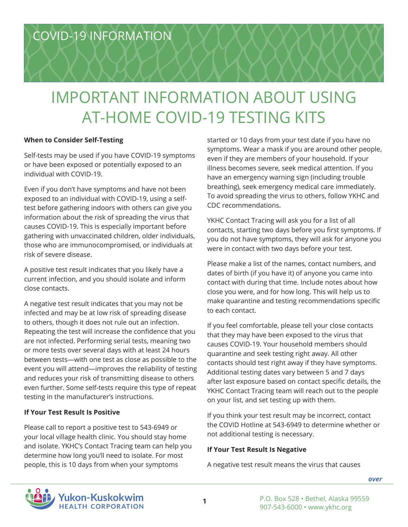# IMPORTANT INFORMATION ABOUT USING AT-HOME COVID-19 TESTING KITS

## **When to Consider Self-Testing**

Self-tests may be used if you have COVID-19 symptoms or have been exposed or potentially exposed to an individual with COVID-19.

Even if you don't have symptoms and have not been exposed to an individual with COVID-19, using a selftest before gathering indoors with others can give you information about the risk of spreading the virus that causes COVID-19. This is especially important before gathering with unvaccinated children, older individuals, those who are immunocompromised, or individuals at risk of severe disease.

A positive test result indicates that you likely have a current infection, and you should isolate and inform close contacts.

A negative test result indicates that you may not be infected and may be at low risk of spreading disease to others, though it does not rule out an infection. Repeating the test will increase the confidence that you are not infected. Performing serial tests, meaning two or more tests over several days with at least 24 hours between tests—with one test as close as possible to the event you will attend—improves the reliability of testing and reduces your risk of transmitting disease to others even further. Some self-tests require this type of repeat testing in the manufacturer's instructions.

## **If Your Test Result Is Positive**

Please call to report a positive test to 543-6949 or your local village health clinic. You should stay home and isolate. YKHC's Contact Tracing team can help you determine how long you'll need to isolate. For most people, this is 10 days from when your symptoms

started or 10 days from your test date if you have no symptoms. Wear a mask if you are around other people, even if they are members of your household. If your illness becomes severe, seek medical attention. If you have an emergency warning sign (including trouble breathing), seek emergency medical care immediately. To avoid spreading the virus to others, follow YKHC and CDC recommendations.

YKHC Contact Tracing will ask you for a list of all contacts, starting two days before you first symptoms. If you do not have symptoms, they will ask for anyone you were in contact with two days before your test.

Please make a list of the names, contact numbers, and dates of birth (if you have it) of anyone you came into contact with during that time. Include notes about how close you were, and for how long. This will help us to make quarantine and testing recommendations specific to each contact.

If you feel comfortable, please tell your close contacts that they may have been exposed to the virus that causes COVID-19. Your household members should quarantine and seek testing right away. All other contacts should test right away if they have symptoms. Additional testing dates vary between 5 and 7 days after last exposure based on contact specific details, the YKHC Contact Tracing team will reach out to the people on your list, and set testing up with them.

If you think your test result may be incorrect, contact the COVID Hotline at 543-6949 to determine whether or not additional testing is necessary.

## **If Your Test Result Is Negative**

A negative test result means the virus that causes



*[over](#page-1-0)*